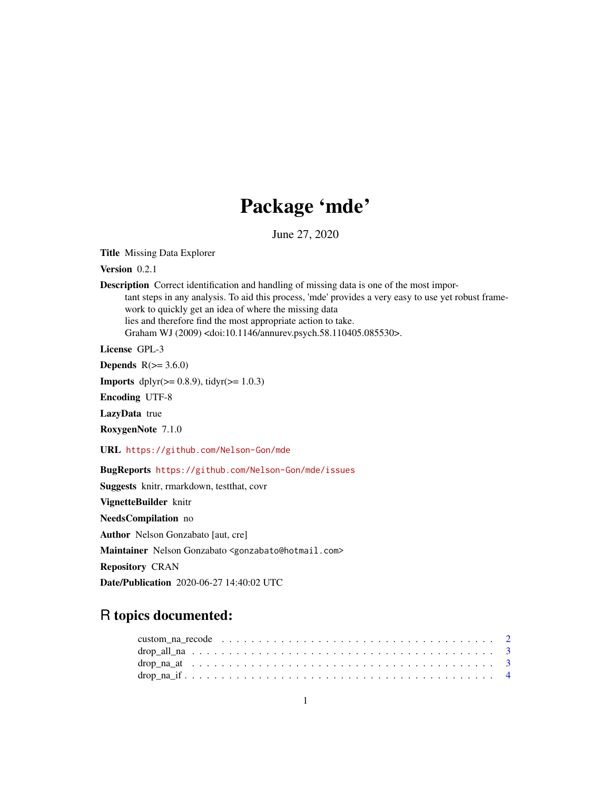## Package 'mde'

June 27, 2020

Title Missing Data Explorer

Version 0.2.1

Description Correct identification and handling of missing data is one of the most important steps in any analysis. To aid this process, 'mde' provides a very easy to use yet robust framework to quickly get an idea of where the missing data lies and therefore find the most appropriate action to take. Graham WJ (2009) <doi:10.1146/annurev.psych.58.110405.085530>.

License GPL-3

**Depends**  $R(>= 3.6.0)$ 

**Imports** dplyr( $>= 0.8.9$ ), tidyr( $>= 1.0.3$ )

Encoding UTF-8

LazyData true

RoxygenNote 7.1.0

URL <https://github.com/Nelson-Gon/mde>

BugReports <https://github.com/Nelson-Gon/mde/issues>

Suggests knitr, rmarkdown, testthat, covr

VignetteBuilder knitr

NeedsCompilation no

Author Nelson Gonzabato [aut, cre]

Maintainer Nelson Gonzabato <gonzabato@hotmail.com>

Repository CRAN

Date/Publication 2020-06-27 14:40:02 UTC

### R topics documented: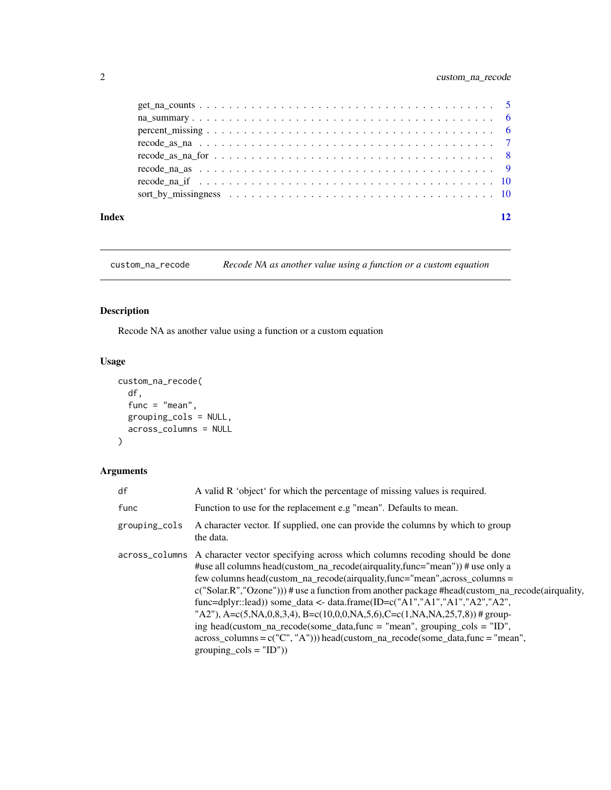<span id="page-1-0"></span>

| Index | 12 |
|-------|----|
|       |    |
|       |    |
|       |    |
|       |    |
|       |    |
|       |    |
|       |    |
|       |    |

custom\_na\_recode *Recode NA as another value using a function or a custom equation*

#### Description

Recode NA as another value using a function or a custom equation

#### Usage

```
custom_na_recode(
  df,
  func = "mean",grouping_cols = NULL,
  across_columns = NULL
\mathcal{L}
```
#### Arguments

| df            | A valid R 'object' for which the percentage of missing values is required.                                                                                                                                                                                                                                                                                                                                                                                                                                                                                                                                                                                                                                                     |
|---------------|--------------------------------------------------------------------------------------------------------------------------------------------------------------------------------------------------------------------------------------------------------------------------------------------------------------------------------------------------------------------------------------------------------------------------------------------------------------------------------------------------------------------------------------------------------------------------------------------------------------------------------------------------------------------------------------------------------------------------------|
| func          | Function to use for the replacement e.g "mean". Defaults to mean.                                                                                                                                                                                                                                                                                                                                                                                                                                                                                                                                                                                                                                                              |
| grouping_cols | A character vector. If supplied, one can provide the columns by which to group<br>the data.                                                                                                                                                                                                                                                                                                                                                                                                                                                                                                                                                                                                                                    |
|               | across_columns A character vector specifying across which columns recoding should be done<br>#use all columns head(custom_na_recode(airquality,func="mean")) # use only a<br>few columns head(custom_na_recode(airquality,func="mean",across_columns =<br>$c("Solar.R", "Ozone"))$ # use a function from another package #head(custom_na_recode(airquality,<br>func=dplyr::lead)) some_data <- data.frame(ID=c("A1","A1","A1","A2","A2",<br>"A2"), A=c(5,NA,0,8,3,4), B=c(10,0,0,NA,5,6),C=c(1,NA,NA,25,7,8))#group-<br>ing head(custom_na_recode(some_data,func = "mean", grouping_cols = "ID",<br>$across_c{\text{columns}} = c("C", "A"))$ head(custom_na_recode(some_data,func = "mean",<br>grouping $\text{cols} = "ID")$ |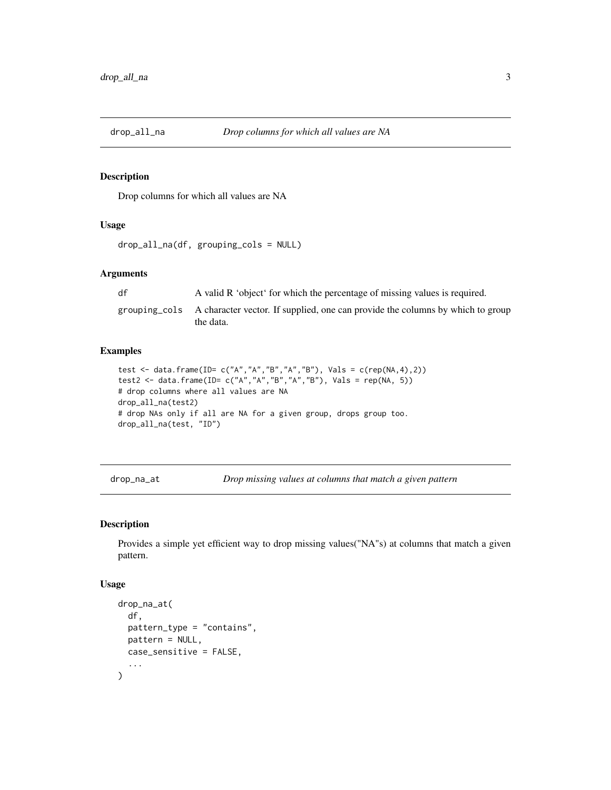<span id="page-2-0"></span>

Drop columns for which all values are NA

#### Usage

```
drop_all_na(df, grouping_cols = NULL)
```
#### Arguments

df A valid R 'object' for which the percentage of missing values is required.

grouping\_cols A character vector. If supplied, one can provide the columns by which to group the data.

#### Examples

```
test <- data.frame(ID= c("A","A","B","A","B"), Vals = c(rep(NA,4),2))
test2 <- data.frame(ID= c("A","A","B","A","B"), Vals = rep(NA, 5))
# drop columns where all values are NA
drop_all_na(test2)
# drop NAs only if all are NA for a given group, drops group too.
drop_all_na(test, "ID")
```
drop\_na\_at *Drop missing values at columns that match a given pattern*

#### Description

Provides a simple yet efficient way to drop missing values("NA"s) at columns that match a given pattern.

#### Usage

```
drop_na_at(
  df,
 pattern_type = "contains",
 pattern = NULL,
 case_sensitive = FALSE,
  ...
)
```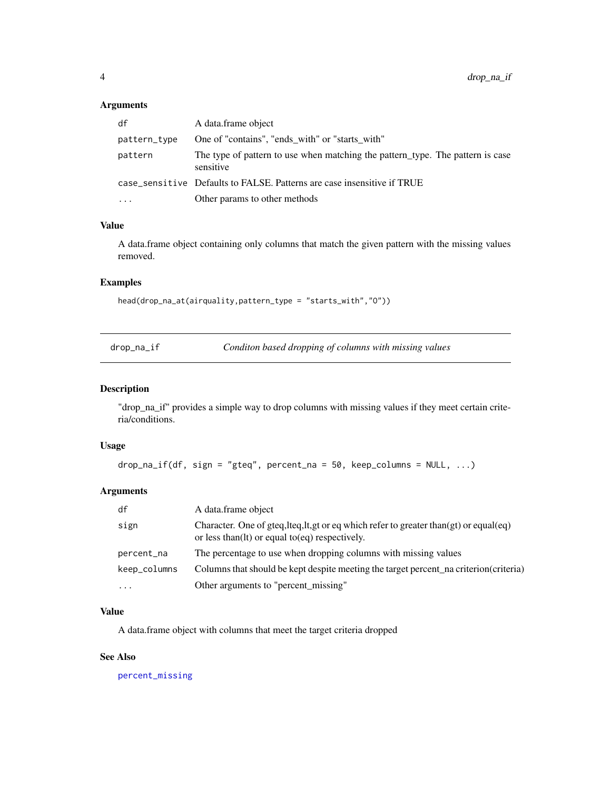#### <span id="page-3-0"></span>Arguments

| df           | A data frame object                                                                         |
|--------------|---------------------------------------------------------------------------------------------|
| pattern_type | One of "contains", "ends with" or "starts with"                                             |
| pattern      | The type of pattern to use when matching the pattern type. The pattern is case<br>sensitive |
|              | case_sensitive Defaults to FALSE. Patterns are case insensitive if TRUE                     |
| $\ddotsc$    | Other params to other methods                                                               |

#### Value

A data.frame object containing only columns that match the given pattern with the missing values removed.

#### Examples

```
head(drop_na_at(airquality,pattern_type = "starts_with","O"))
```

|  | drop_na_if |
|--|------------|
|  |            |

drop\_na\_if *Conditon based dropping of columns with missing values*

#### Description

"drop\_na\_if" provides a simple way to drop columns with missing values if they meet certain criteria/conditions.

#### Usage

```
drop\_na\_if(df, sign = "gteq", percent\_na = 50, keep\_columns = NULL, ...)
```
#### Arguments

| df           | A data.frame object                                                                                                                                 |
|--------------|-----------------------------------------------------------------------------------------------------------------------------------------------------|
| sign         | Character. One of gteq, lteq, lt, gt or eq which refer to greater than $gt)$ or equal $eq)$<br>or less than $(1t)$ or equal to $(eq)$ respectively. |
| percent_na   | The percentage to use when dropping columns with missing values                                                                                     |
| keep_columns | Columns that should be kept despite meeting the target percent na criterion (criteria)                                                              |
| .            | Other arguments to "percent_missing"                                                                                                                |

#### Value

A data.frame object with columns that meet the target criteria dropped

#### See Also

[percent\\_missing](#page-5-1)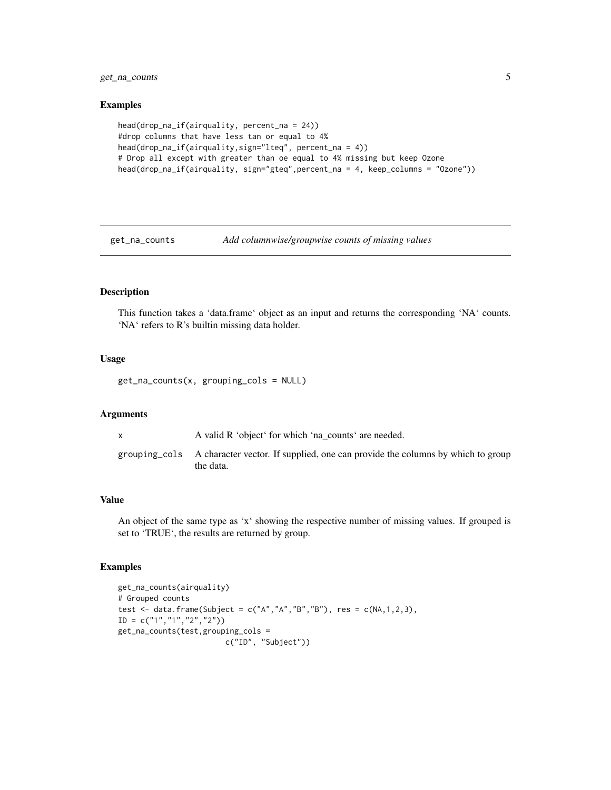<span id="page-4-0"></span>get\_na\_counts 5

#### Examples

```
head(drop_na_if(airquality, percent_na = 24))
#drop columns that have less tan or equal to 4%
head(drop_na_if(airquality,sign="lteq", percent_na = 4))
# Drop all except with greater than oe equal to 4% missing but keep Ozone
head(drop_na_if(airquality, sign="gteq",percent_na = 4, keep_columns = "Ozone"))
```
<span id="page-4-1"></span>

```
get_na_counts Add columnwise/groupwise counts of missing values
```
#### Description

This function takes a 'data.frame' object as an input and returns the corresponding 'NA' counts. 'NA' refers to R's builtin missing data holder.

#### Usage

get\_na\_counts(x, grouping\_cols = NULL)

#### Arguments

x A valid R 'object' for which 'na\_counts' are needed.

grouping\_cols A character vector. If supplied, one can provide the columns by which to group the data.

#### Value

An object of the same type as 'x' showing the respective number of missing values. If grouped is set to 'TRUE', the results are returned by group.

```
get_na_counts(airquality)
# Grouped counts
test <- data.frame(Subject = c("A","A","B","B"), res = c(NA,1,2,3),
ID = c("1", "1", "2", "2")get_na_counts(test,grouping_cols =
                        c("ID", "Subject"))
```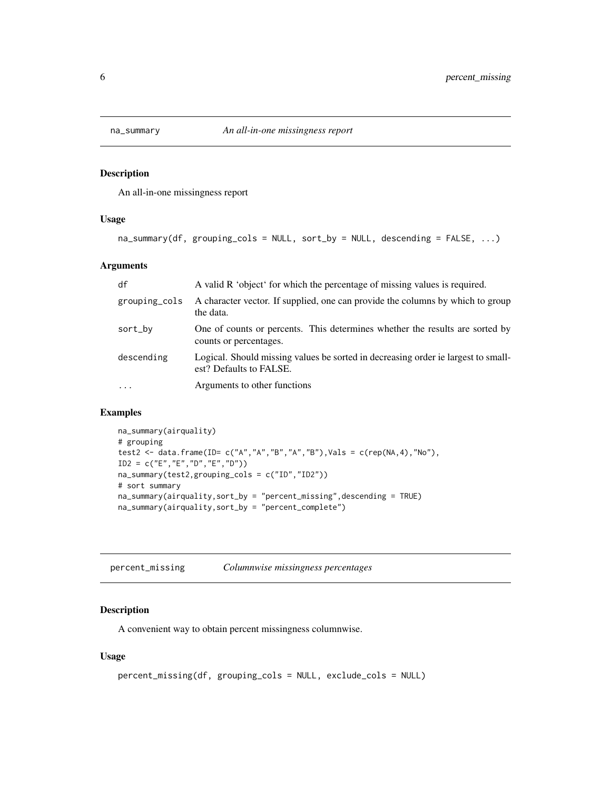<span id="page-5-0"></span>

An all-in-one missingness report

#### Usage

```
na_summary(df, grouping_cols = NULL, sort_by = NULL, descending = FALSE, ...)
```
#### Arguments

| df            | A valid R 'object' for which the percentage of missing values is required.                                   |
|---------------|--------------------------------------------------------------------------------------------------------------|
| grouping_cols | A character vector. If supplied, one can provide the columns by which to group<br>the data.                  |
| sort_by       | One of counts or percents. This determines whether the results are sorted by<br>counts or percentages.       |
| descending    | Logical. Should missing values be sorted in decreasing order ie largest to small-<br>est? Defaults to FALSE. |
| $\ddotsc$     | Arguments to other functions                                                                                 |

#### Examples

```
na_summary(airquality)
# grouping
test2 <- data.frame(ID= c("A","A","B","A","B"),Vals = c(rep(NA,4),"No"),
ID2 = c("E","E","D","E","D"))
na_summary(test2,grouping_cols = c("ID","ID2"))
# sort summary
na_summary(airquality,sort_by = "percent_missing",descending = TRUE)
na_summary(airquality,sort_by = "percent_complete")
```
<span id="page-5-1"></span>percent\_missing *Columnwise missingness percentages*

#### Description

A convenient way to obtain percent missingness columnwise.

#### Usage

```
percent_missing(df, grouping_cols = NULL, exclude_cols = NULL)
```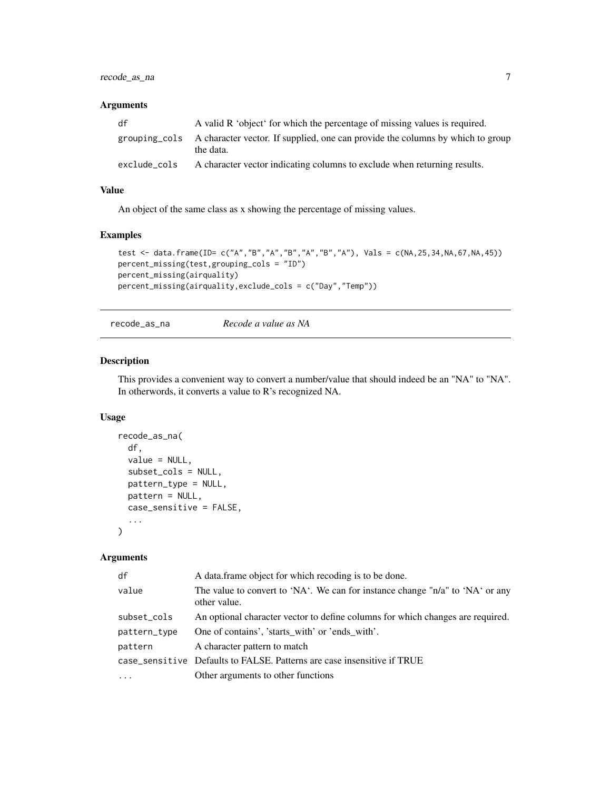#### <span id="page-6-0"></span>recode\_as\_na 7

#### Arguments

| df           | A valid R 'object' for which the percentage of missing values is required.                                |
|--------------|-----------------------------------------------------------------------------------------------------------|
|              | grouping cols A character vector. If supplied, one can provide the columns by which to group<br>the data. |
| exclude cols | A character vector indicating columns to exclude when returning results.                                  |

#### Value

An object of the same class as x showing the percentage of missing values.

#### Examples

```
test <- data.frame(ID= c("A","B","A","B","A","B","A"), Vals = c(NA,25,34,NA,67,NA,45))
percent_missing(test,grouping_cols = "ID")
percent_missing(airquality)
percent_missing(airquality,exclude_cols = c("Day","Temp"))
```
recode\_as\_na *Recode a value as NA*

#### Description

This provides a convenient way to convert a number/value that should indeed be an "NA" to "NA". In otherwords, it converts a value to R's recognized NA.

#### Usage

```
recode_as_na(
 df,
 value = NULL,
 subset_cols = NULL,
 pattern_type = NULL,
 pattern = NULL,
 case_sensitive = FALSE,
  ...
)
```
#### Arguments

| df           | A data frame object for which recoding is to be done.                                         |
|--------------|-----------------------------------------------------------------------------------------------|
| value        | The value to convert to 'NA'. We can for instance change "n/a" to 'NA' or any<br>other value. |
| subset_cols  | An optional character vector to define columns for which changes are required.                |
| pattern_type | One of contains', 'starts with' or 'ends with'.                                               |
| pattern      | A character pattern to match                                                                  |
|              | case_sensitive Defaults to FALSE. Patterns are case insensitive if TRUE                       |
|              | Other arguments to other functions                                                            |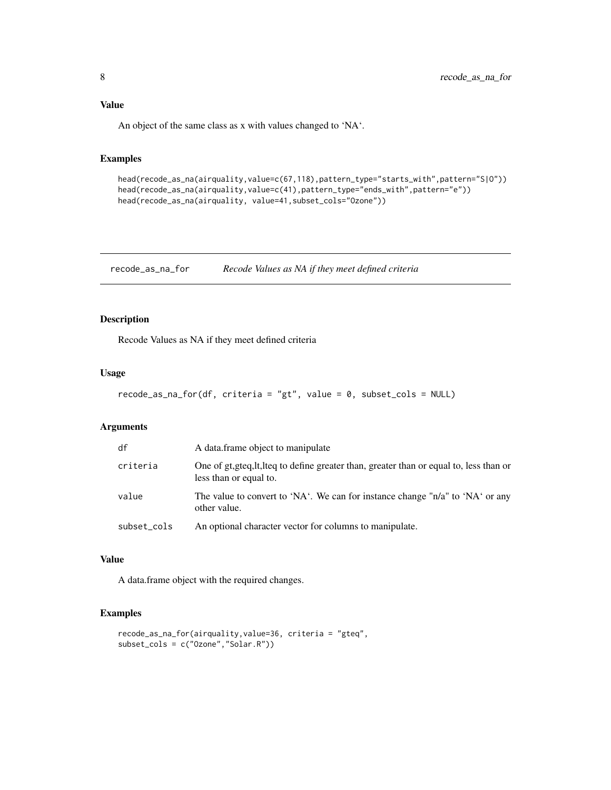#### <span id="page-7-0"></span>Value

An object of the same class as x with values changed to 'NA'.

#### Examples

```
head(recode_as_na(airquality,value=c(67,118),pattern_type="starts_with",pattern="S|O"))
head(recode_as_na(airquality,value=c(41),pattern_type="ends_with",pattern="e"))
head(recode_as_na(airquality, value=41,subset_cols="Ozone"))
```
recode\_as\_na\_for *Recode Values as NA if they meet defined criteria*

#### Description

Recode Values as NA if they meet defined criteria

#### Usage

```
recode_as_na_for(df, criteria = "gt", value = 0, subset_cols = NULL)
```
#### Arguments

| df          | A data frame object to manipulate                                                                                  |
|-------------|--------------------------------------------------------------------------------------------------------------------|
| criteria    | One of gt, gteq, lt, lteq to define greater than, greater than or equal to, less than or<br>less than or equal to. |
| value       | The value to convert to 'NA'. We can for instance change " $n/a$ " to 'NA' or any<br>other value.                  |
| subset_cols | An optional character vector for columns to manipulate.                                                            |

#### Value

A data.frame object with the required changes.

```
recode_as_na_for(airquality,value=36, criteria = "gteq",
subset_cols = c("Ozone","Solar.R"))
```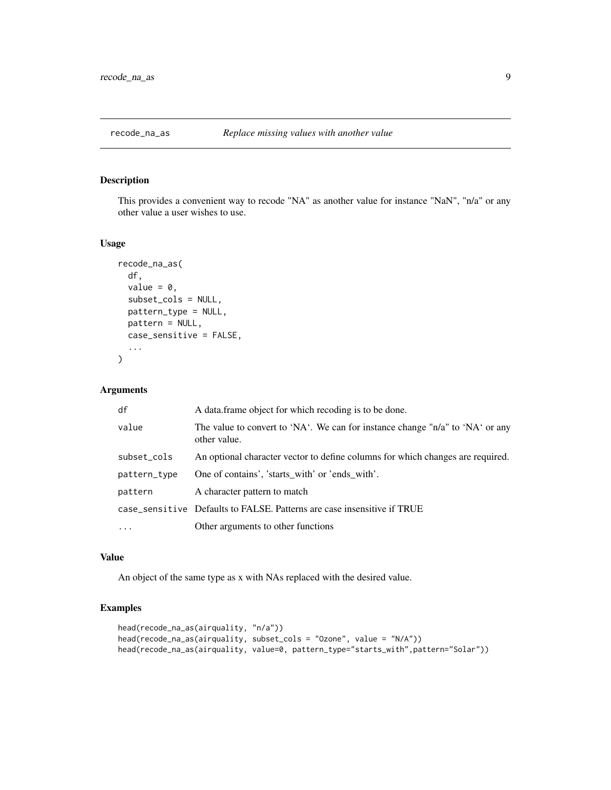<span id="page-8-0"></span>

This provides a convenient way to recode "NA" as another value for instance "NaN", "n/a" or any other value a user wishes to use.

#### Usage

```
recode_na_as(
  df,
  value = 0.
  subset_cols = NULL,
 pattern_type = NULL,
 pattern = NULL,
 case_sensitive = FALSE,
  ...
)
```
#### Arguments

| df           | A data frame object for which recoding is to be done.                                         |
|--------------|-----------------------------------------------------------------------------------------------|
| value        | The value to convert to 'NA'. We can for instance change "n/a" to 'NA' or any<br>other value. |
| subset_cols  | An optional character vector to define columns for which changes are required.                |
| pattern_type | One of contains', 'starts with' or 'ends with'.                                               |
| pattern      | A character pattern to match                                                                  |
|              | case_sensitive Defaults to FALSE. Patterns are case insensitive if TRUE                       |
|              | Other arguments to other functions                                                            |

#### Value

An object of the same type as x with NAs replaced with the desired value.

```
head(recode_na_as(airquality, "n/a"))
head(recode_na_as(airquality, subset_cols = "Ozone", value = "N/A"))
head(recode_na_as(airquality, value=0, pattern_type="starts_with",pattern="Solar"))
```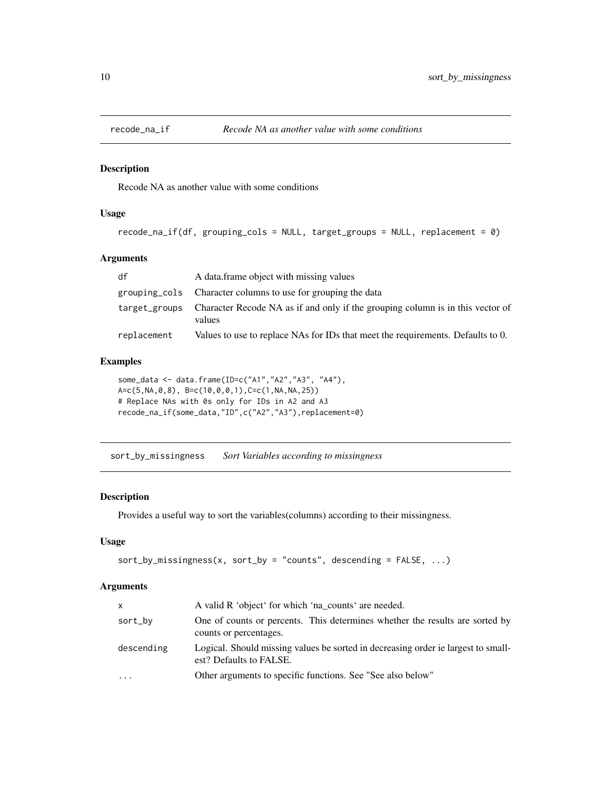<span id="page-9-0"></span>

Recode NA as another value with some conditions

#### Usage

```
recode_na_if(df, grouping_cols = NULL, target_groups = NULL, replacement = 0)
```
#### Arguments

| df            | A data frame object with missing values                                                  |
|---------------|------------------------------------------------------------------------------------------|
|               | grouping cols Character columns to use for grouping the data                             |
| target_groups | Character Recode NA as if and only if the grouping column is in this vector of<br>values |
| replacement   | Values to use to replace NAs for IDs that meet the requirements. Defaults to 0.          |

#### Examples

```
some_data <- data.frame(ID=c("A1","A2","A3", "A4"),
A = c(5, NA, 0, 8), B = c(10, 0, 0, 1), C = c(1, NA, NA, 25))# Replace NAs with 0s only for IDs in A2 and A3
recode_na_if(some_data,"ID",c("A2","A3"),replacement=0)
```
sort\_by\_missingness *Sort Variables according to missingness*

#### Description

Provides a useful way to sort the variables(columns) according to their missingness.

#### Usage

```
sort_by_missingness(x, sort_by = "counts", descending = FALSE, ...)
```
#### Arguments

| <b>X</b>   | A valid R 'object' for which 'na_counts' are needed.                                                         |
|------------|--------------------------------------------------------------------------------------------------------------|
| sort_by    | One of counts or percents. This determines whether the results are sorted by<br>counts or percentages.       |
| descending | Logical. Should missing values be sorted in decreasing order ie largest to small-<br>est? Defaults to FALSE. |
| $\cdots$   | Other arguments to specific functions. See "See also below"                                                  |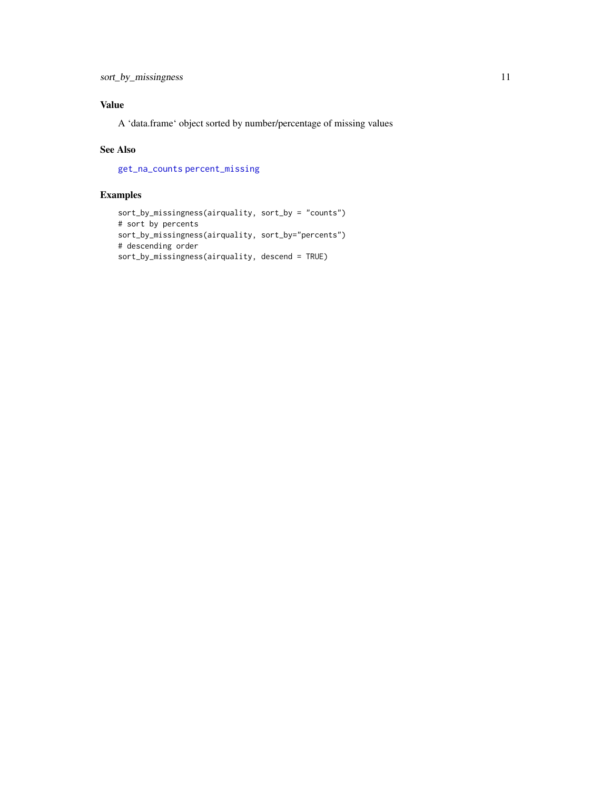#### <span id="page-10-0"></span>Value

A 'data.frame' object sorted by number/percentage of missing values

#### See Also

[get\\_na\\_counts](#page-4-1) [percent\\_missing](#page-5-1)

```
sort_by_missingness(airquality, sort_by = "counts")
# sort by percents
sort_by_missingness(airquality, sort_by="percents")
# descending order
sort_by_missingness(airquality, descend = TRUE)
```